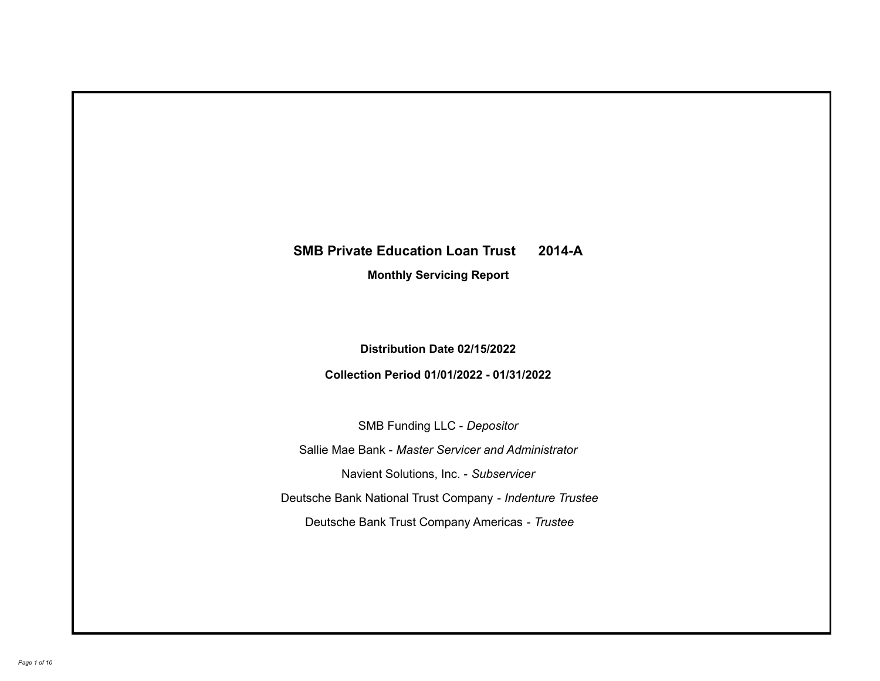# **SMB Private Education Loan Trust 2014-A**

**Monthly Servicing Report**

**Distribution Date 02/15/2022**

**Collection Period 01/01/2022 - 01/31/2022**

SMB Funding LLC - *Depositor*

Sallie Mae Bank - *Master Servicer and Administrator*

Navient Solutions, Inc. - *Subservicer*

Deutsche Bank National Trust Company - *Indenture Trustee*

Deutsche Bank Trust Company Americas - *Trustee*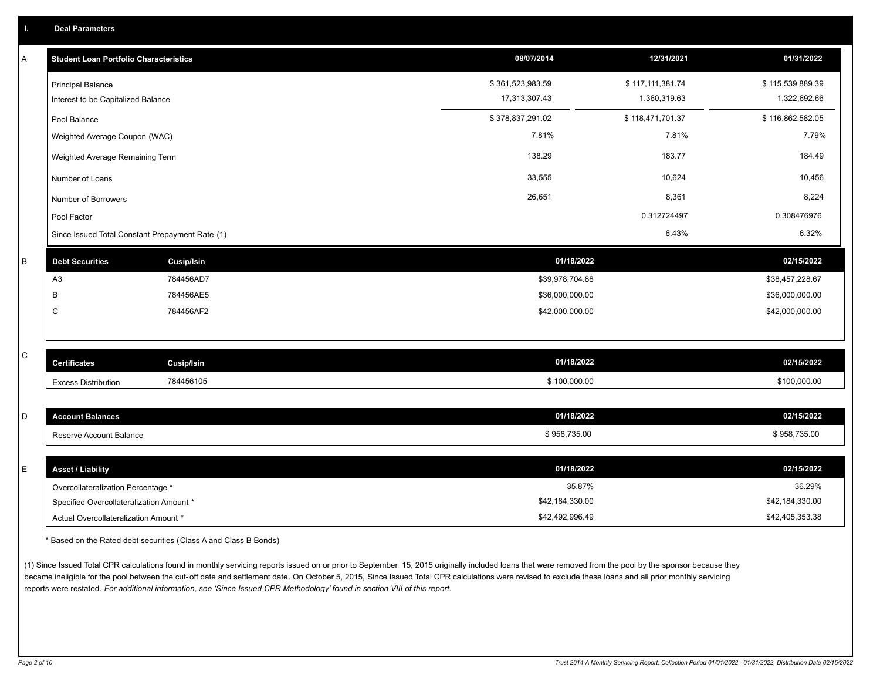|  | <b>Deal Parameters</b> |  |
|--|------------------------|--|
|  |                        |  |

| Α            | <b>Student Loan Portfolio Characteristics</b>   |                   | 08/07/2014       | 12/31/2021       | 01/31/2022       |
|--------------|-------------------------------------------------|-------------------|------------------|------------------|------------------|
|              | <b>Principal Balance</b>                        |                   | \$361,523,983.59 | \$117,111,381.74 | \$115,539,889.39 |
|              | Interest to be Capitalized Balance              |                   | 17,313,307.43    | 1,360,319.63     | 1,322,692.66     |
|              | Pool Balance                                    |                   | \$378,837,291.02 | \$118,471,701.37 | \$116,862,582.05 |
|              | Weighted Average Coupon (WAC)                   |                   | 7.81%            | 7.81%            | 7.79%            |
|              | Weighted Average Remaining Term                 |                   | 138.29           | 183.77           | 184.49           |
|              | Number of Loans                                 |                   | 33,555           | 10,624           | 10,456           |
|              | Number of Borrowers                             |                   | 26,651           | 8,361            | 8,224            |
|              | Pool Factor                                     |                   |                  | 0.312724497      | 0.308476976      |
|              | Since Issued Total Constant Prepayment Rate (1) |                   |                  | 6.43%            | 6.32%            |
| В            | <b>Debt Securities</b>                          | <b>Cusip/Isin</b> | 01/18/2022       |                  | 02/15/2022       |
|              | A <sub>3</sub>                                  | 784456AD7         | \$39,978,704.88  |                  | \$38,457,228.67  |
|              | В                                               | 784456AE5         | \$36,000,000.00  |                  | \$36,000,000.00  |
|              | $\mathsf{C}$                                    | 784456AF2         | \$42,000,000.00  |                  | \$42,000,000.00  |
|              |                                                 |                   |                  |                  |                  |
| $\mathsf{C}$ | <b>Certificates</b>                             | <b>Cusip/Isin</b> | 01/18/2022       |                  | 02/15/2022       |
|              | <b>Excess Distribution</b>                      | 784456105         | \$100,000.00     |                  | \$100,000.00     |
|              |                                                 |                   |                  |                  |                  |
| D            | <b>Account Balances</b>                         |                   | 01/18/2022       |                  | 02/15/2022       |
|              | Reserve Account Balance                         |                   | \$958,735.00     |                  | \$958,735.00     |
|              |                                                 |                   |                  |                  |                  |
| Е            | <b>Asset / Liability</b>                        |                   | 01/18/2022       |                  | 02/15/2022       |
|              | Overcollateralization Percentage *              |                   | 35.87%           |                  | 36.29%           |
|              | Specified Overcollateralization Amount *        |                   | \$42,184,330.00  |                  | \$42,184,330.00  |

\* Based on the Rated debt securities (Class A and Class B Bonds)

(1) Since Issued Total CPR calculations found in monthly servicing reports issued on or prior to September 15, 2015 originally included loans that were removed from the pool by the sponsor because they became ineligible for the pool between the cut-off date and settlement date. On October 5, 2015, Since Issued Total CPR calculations were revised to exclude these loans and all prior monthly servicing reports were restated. *For additional information, see 'Since Issued CPR Methodology' found in section VIII of this report.*

Actual Overcollateralization Amount \* \$42,492,996.49

\$42,405,353.38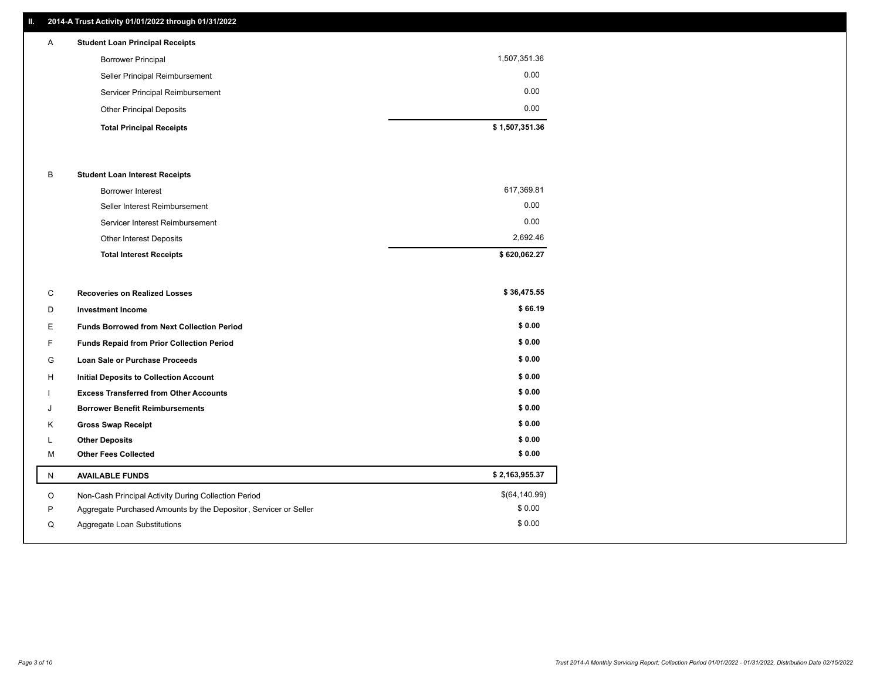### **II. 2014-A Trust Activity 01/01/2022 through 01/31/2022**

| $\mathsf{A}$ | <b>Student Loan Principal Receipts</b> |                |
|--------------|----------------------------------------|----------------|
|              | <b>Borrower Principal</b>              | 1,507,351.36   |
|              | Seller Principal Reimbursement         | 0.00           |
|              | Servicer Principal Reimbursement       | 0.00           |
|              | <b>Other Principal Deposits</b>        | 0.00           |
|              | <b>Total Principal Receipts</b>        | \$1,507,351.36 |

### B **Student Loan Interest Receipts**

| <b>Total Interest Receipts</b>  | \$620,062.27 |
|---------------------------------|--------------|
| Other Interest Deposits         | 2.692.46     |
| Servicer Interest Reimbursement | 0.00         |
| Seller Interest Reimbursement   | 0.00         |
| Borrower Interest               | 617,369.81   |

| \$66.19<br>D<br><b>Investment Income</b><br>\$0.00<br>E.<br><b>Funds Borrowed from Next Collection Period</b><br>\$0.00<br>F.<br><b>Funds Repaid from Prior Collection Period</b><br>\$0.00<br>G<br><b>Loan Sale or Purchase Proceeds</b><br>\$0.00<br>H<br><b>Initial Deposits to Collection Account</b><br>\$0.00<br><b>Excess Transferred from Other Accounts</b><br>\$0.00<br><b>Borrower Benefit Reimbursements</b><br>J<br>\$0.00<br>Κ<br><b>Gross Swap Receipt</b><br>\$0.00<br><b>Other Deposits</b><br>\$0.00<br>M<br><b>Other Fees Collected</b><br>\$2,163,955.37<br><b>AVAILABLE FUNDS</b><br>N<br>\$(64,140.99)<br>Non-Cash Principal Activity During Collection Period<br>O<br>\$0.00<br>P<br>Aggregate Purchased Amounts by the Depositor, Servicer or Seller<br>\$0.00<br>Aggregate Loan Substitutions<br>Q | С | <b>Recoveries on Realized Losses</b> | \$36,475.55 |
|-----------------------------------------------------------------------------------------------------------------------------------------------------------------------------------------------------------------------------------------------------------------------------------------------------------------------------------------------------------------------------------------------------------------------------------------------------------------------------------------------------------------------------------------------------------------------------------------------------------------------------------------------------------------------------------------------------------------------------------------------------------------------------------------------------------------------------|---|--------------------------------------|-------------|
|                                                                                                                                                                                                                                                                                                                                                                                                                                                                                                                                                                                                                                                                                                                                                                                                                             |   |                                      |             |
|                                                                                                                                                                                                                                                                                                                                                                                                                                                                                                                                                                                                                                                                                                                                                                                                                             |   |                                      |             |
|                                                                                                                                                                                                                                                                                                                                                                                                                                                                                                                                                                                                                                                                                                                                                                                                                             |   |                                      |             |
|                                                                                                                                                                                                                                                                                                                                                                                                                                                                                                                                                                                                                                                                                                                                                                                                                             |   |                                      |             |
|                                                                                                                                                                                                                                                                                                                                                                                                                                                                                                                                                                                                                                                                                                                                                                                                                             |   |                                      |             |
|                                                                                                                                                                                                                                                                                                                                                                                                                                                                                                                                                                                                                                                                                                                                                                                                                             |   |                                      |             |
|                                                                                                                                                                                                                                                                                                                                                                                                                                                                                                                                                                                                                                                                                                                                                                                                                             |   |                                      |             |
|                                                                                                                                                                                                                                                                                                                                                                                                                                                                                                                                                                                                                                                                                                                                                                                                                             |   |                                      |             |
|                                                                                                                                                                                                                                                                                                                                                                                                                                                                                                                                                                                                                                                                                                                                                                                                                             |   |                                      |             |
|                                                                                                                                                                                                                                                                                                                                                                                                                                                                                                                                                                                                                                                                                                                                                                                                                             |   |                                      |             |
|                                                                                                                                                                                                                                                                                                                                                                                                                                                                                                                                                                                                                                                                                                                                                                                                                             |   |                                      |             |
|                                                                                                                                                                                                                                                                                                                                                                                                                                                                                                                                                                                                                                                                                                                                                                                                                             |   |                                      |             |
|                                                                                                                                                                                                                                                                                                                                                                                                                                                                                                                                                                                                                                                                                                                                                                                                                             |   |                                      |             |
|                                                                                                                                                                                                                                                                                                                                                                                                                                                                                                                                                                                                                                                                                                                                                                                                                             |   |                                      |             |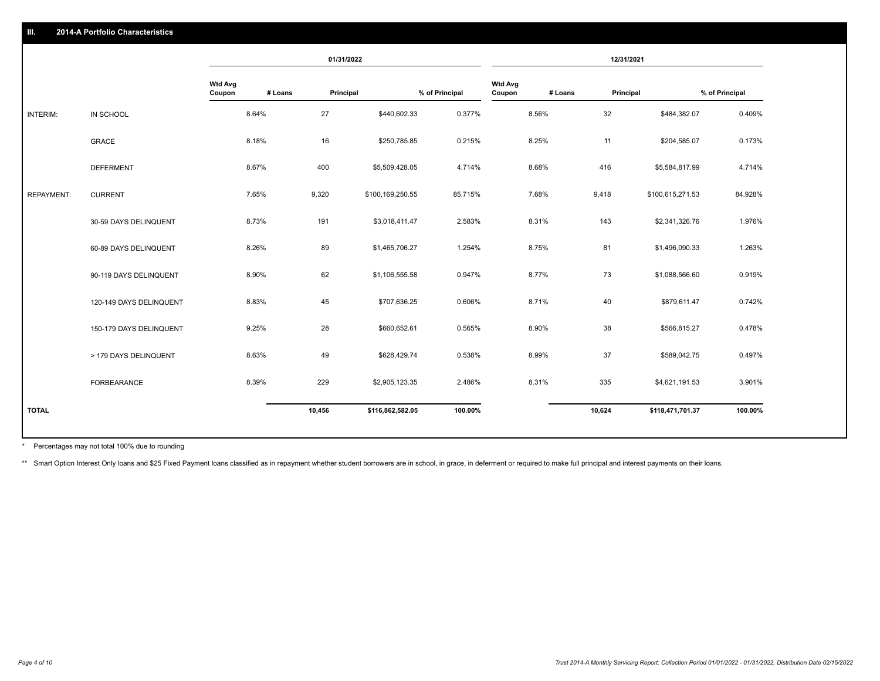|                   |                         |                          | 01/31/2022 |           | 12/31/2021       |                |                          |         |           |                  |                |
|-------------------|-------------------------|--------------------------|------------|-----------|------------------|----------------|--------------------------|---------|-----------|------------------|----------------|
|                   |                         | <b>Wtd Avg</b><br>Coupon | # Loans    | Principal |                  | % of Principal | <b>Wtd Avg</b><br>Coupon | # Loans | Principal |                  | % of Principal |
| INTERIM:          | IN SCHOOL               |                          | 8.64%      | 27        | \$440,602.33     | 0.377%         |                          | 8.56%   | 32        | \$484,382.07     | 0.409%         |
|                   | GRACE                   |                          | 8.18%      | 16        | \$250,785.85     | 0.215%         |                          | 8.25%   | 11        | \$204,585.07     | 0.173%         |
|                   | <b>DEFERMENT</b>        |                          | 8.67%      | 400       | \$5,509,428.05   | 4.714%         |                          | 8.68%   | 416       | \$5,584,817.99   | 4.714%         |
| <b>REPAYMENT:</b> | <b>CURRENT</b>          |                          | 7.65%      | 9,320     | \$100,169,250.55 | 85.715%        |                          | 7.68%   | 9,418     | \$100,615,271.53 | 84.928%        |
|                   | 30-59 DAYS DELINQUENT   |                          | 8.73%      | 191       | \$3,018,411.47   | 2.583%         |                          | 8.31%   | 143       | \$2,341,326.76   | 1.976%         |
|                   | 60-89 DAYS DELINQUENT   |                          | 8.26%      | 89        | \$1,465,706.27   | 1.254%         |                          | 8.75%   | 81        | \$1,496,090.33   | 1.263%         |
|                   | 90-119 DAYS DELINQUENT  |                          | 8.90%      | 62        | \$1,106,555.58   | 0.947%         |                          | 8.77%   | 73        | \$1,088,566.60   | 0.919%         |
|                   | 120-149 DAYS DELINQUENT |                          | 8.83%      | 45        | \$707,636.25     | 0.606%         |                          | 8.71%   | 40        | \$879,611.47     | 0.742%         |
|                   | 150-179 DAYS DELINQUENT |                          | 9.25%      | 28        | \$660,652.61     | 0.565%         |                          | 8.90%   | 38        | \$566,815.27     | 0.478%         |
|                   | > 179 DAYS DELINQUENT   |                          | 8.63%      | 49        | \$628,429.74     | 0.538%         |                          | 8.99%   | 37        | \$589,042.75     | 0.497%         |
|                   | FORBEARANCE             |                          | 8.39%      | 229       | \$2,905,123.35   | 2.486%         |                          | 8.31%   | 335       | \$4,621,191.53   | 3.901%         |
| <b>TOTAL</b>      |                         |                          |            | 10,456    | \$116,862,582.05 | 100.00%        |                          |         | 10,624    | \$118,471,701.37 | 100.00%        |
|                   |                         |                          |            |           |                  |                |                          |         |           |                  |                |

Percentages may not total 100% due to rounding \*

\*\* Smart Option Interest Only loans and \$25 Fixed Payment loans classified as in repayment whether student borrowers are in school, in grace, in deferment or required to make full principal and interest payments on their l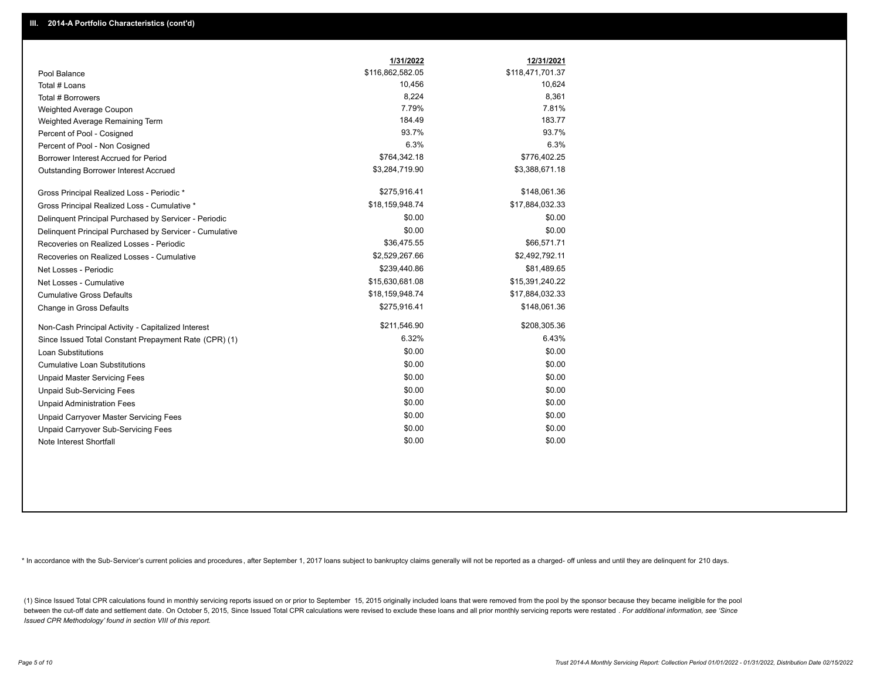|                                                         | 1/31/2022        | 12/31/2021       |
|---------------------------------------------------------|------------------|------------------|
| Pool Balance                                            | \$116,862,582.05 | \$118,471,701.37 |
| Total # Loans                                           | 10,456           | 10,624           |
| Total # Borrowers                                       | 8,224            | 8,361            |
| Weighted Average Coupon                                 | 7.79%            | 7.81%            |
| Weighted Average Remaining Term                         | 184.49           | 183.77           |
| Percent of Pool - Cosigned                              | 93.7%            | 93.7%            |
| Percent of Pool - Non Cosigned                          | 6.3%             | 6.3%             |
| Borrower Interest Accrued for Period                    | \$764,342.18     | \$776,402.25     |
| Outstanding Borrower Interest Accrued                   | \$3,284,719.90   | \$3,388,671.18   |
| Gross Principal Realized Loss - Periodic *              | \$275,916.41     | \$148,061.36     |
| Gross Principal Realized Loss - Cumulative *            | \$18,159,948.74  | \$17,884,032.33  |
| Delinquent Principal Purchased by Servicer - Periodic   | \$0.00           | \$0.00           |
| Delinquent Principal Purchased by Servicer - Cumulative | \$0.00           | \$0.00           |
| Recoveries on Realized Losses - Periodic                | \$36,475.55      | \$66,571.71      |
| Recoveries on Realized Losses - Cumulative              | \$2,529,267.66   | \$2,492,792.11   |
| Net Losses - Periodic                                   | \$239,440.86     | \$81,489.65      |
| Net Losses - Cumulative                                 | \$15,630,681.08  | \$15,391,240.22  |
| <b>Cumulative Gross Defaults</b>                        | \$18,159,948.74  | \$17,884,032.33  |
| Change in Gross Defaults                                | \$275,916.41     | \$148,061.36     |
| Non-Cash Principal Activity - Capitalized Interest      | \$211,546.90     | \$208,305.36     |
| Since Issued Total Constant Prepayment Rate (CPR) (1)   | 6.32%            | 6.43%            |
| <b>Loan Substitutions</b>                               | \$0.00           | \$0.00           |
| <b>Cumulative Loan Substitutions</b>                    | \$0.00           | \$0.00           |
| <b>Unpaid Master Servicing Fees</b>                     | \$0.00           | \$0.00           |
| <b>Unpaid Sub-Servicing Fees</b>                        | \$0.00           | \$0.00           |
| <b>Unpaid Administration Fees</b>                       | \$0.00           | \$0.00           |
| Unpaid Carryover Master Servicing Fees                  | \$0.00           | \$0.00           |
| Unpaid Carryover Sub-Servicing Fees                     | \$0.00           | \$0.00           |
| Note Interest Shortfall                                 | \$0.00           | \$0.00           |

\* In accordance with the Sub-Servicer's current policies and procedures, after September 1, 2017 loans subject to bankruptcy claims generally will not be reported as a charged- off unless and until they are delinquent for

(1) Since Issued Total CPR calculations found in monthly servicing reports issued on or prior to September 15, 2015 originally included loans that were removed from the pool by the sponsor because they became ineligible fo between the cut-off date and settlement date. On October 5, 2015, Since Issued Total CPR calculations were revised to exclude these loans and all prior monthly servicing reports were restated . For additional information, *Issued CPR Methodology' found in section VIII of this report.*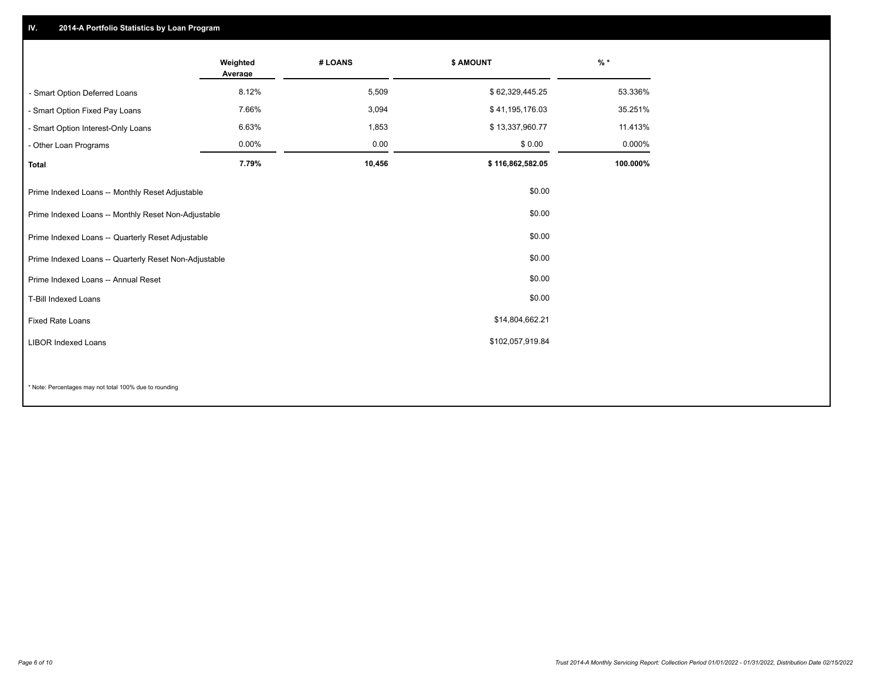## **IV. 2014-A Portfolio Statistics by Loan Program**

|                                                       | Weighted<br>Average | # LOANS | \$ AMOUNT        | $\frac{9}{6}$ * |
|-------------------------------------------------------|---------------------|---------|------------------|-----------------|
| - Smart Option Deferred Loans                         | 8.12%               | 5,509   | \$62,329,445.25  | 53.336%         |
| - Smart Option Fixed Pay Loans                        | 7.66%               | 3,094   | \$41,195,176.03  | 35.251%         |
| - Smart Option Interest-Only Loans                    | 6.63%               | 1,853   | \$13,337,960.77  | 11.413%         |
| - Other Loan Programs                                 | 0.00%               | 0.00    | \$0.00           | 0.000%          |
| <b>Total</b>                                          | 7.79%               | 10,456  | \$116,862,582.05 | 100.000%        |
| Prime Indexed Loans -- Monthly Reset Adjustable       |                     |         | \$0.00           |                 |
| Prime Indexed Loans -- Monthly Reset Non-Adjustable   |                     |         | \$0.00           |                 |
| Prime Indexed Loans -- Quarterly Reset Adjustable     |                     |         | \$0.00           |                 |
| Prime Indexed Loans -- Quarterly Reset Non-Adjustable |                     |         | \$0.00           |                 |
| Prime Indexed Loans -- Annual Reset                   |                     |         | \$0.00           |                 |
| <b>T-Bill Indexed Loans</b>                           |                     |         | \$0.00           |                 |
| <b>Fixed Rate Loans</b>                               |                     |         | \$14,804,662.21  |                 |
| <b>LIBOR Indexed Loans</b>                            |                     |         | \$102,057,919.84 |                 |
|                                                       |                     |         |                  |                 |

\* Note: Percentages may not total 100% due to rounding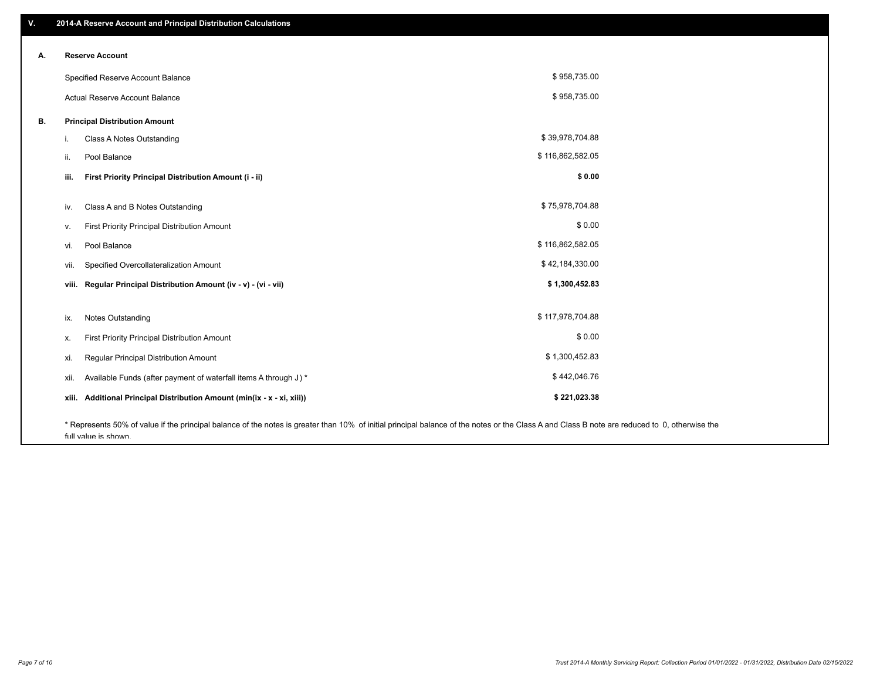| ۷. | 2014-A Reserve Account and Principal Distribution Calculations                                                                                                                                |                  |  |
|----|-----------------------------------------------------------------------------------------------------------------------------------------------------------------------------------------------|------------------|--|
|    | <b>Reserve Account</b>                                                                                                                                                                        |                  |  |
| А. |                                                                                                                                                                                               |                  |  |
|    | Specified Reserve Account Balance                                                                                                                                                             | \$958,735.00     |  |
|    | Actual Reserve Account Balance                                                                                                                                                                | \$958,735.00     |  |
| В. | <b>Principal Distribution Amount</b>                                                                                                                                                          |                  |  |
|    | Class A Notes Outstanding<br>i.                                                                                                                                                               | \$39,978,704.88  |  |
|    | Pool Balance<br>ii.                                                                                                                                                                           | \$116,862,582.05 |  |
|    | First Priority Principal Distribution Amount (i - ii)<br>iii.                                                                                                                                 | \$0.00           |  |
|    | Class A and B Notes Outstanding<br>iv.                                                                                                                                                        | \$75,978,704.88  |  |
|    | First Priority Principal Distribution Amount<br>V.                                                                                                                                            | \$0.00           |  |
|    | Pool Balance<br>vi.                                                                                                                                                                           | \$116,862,582.05 |  |
|    | Specified Overcollateralization Amount<br>vii.                                                                                                                                                | \$42,184,330.00  |  |
|    | Regular Principal Distribution Amount (iv - v) - (vi - vii)<br>viii.                                                                                                                          | \$1,300,452.83   |  |
|    |                                                                                                                                                                                               |                  |  |
|    | <b>Notes Outstanding</b><br>ix.                                                                                                                                                               | \$117,978,704.88 |  |
|    | First Priority Principal Distribution Amount<br>х.                                                                                                                                            | \$0.00           |  |
|    | Regular Principal Distribution Amount<br>xi.                                                                                                                                                  | \$1,300,452.83   |  |
|    | Available Funds (after payment of waterfall items A through J) *<br>xii.                                                                                                                      | \$442,046.76     |  |
|    | xiii. Additional Principal Distribution Amount (min(ix - x - xi, xiii))                                                                                                                       | \$221,023.38     |  |
|    | * Represents 50% of value if the principal balance of the notes is greater than 10% of initial principal balance of the notes or the Class A and Class B note are reduced to 0, otherwise the |                  |  |

full value is shown.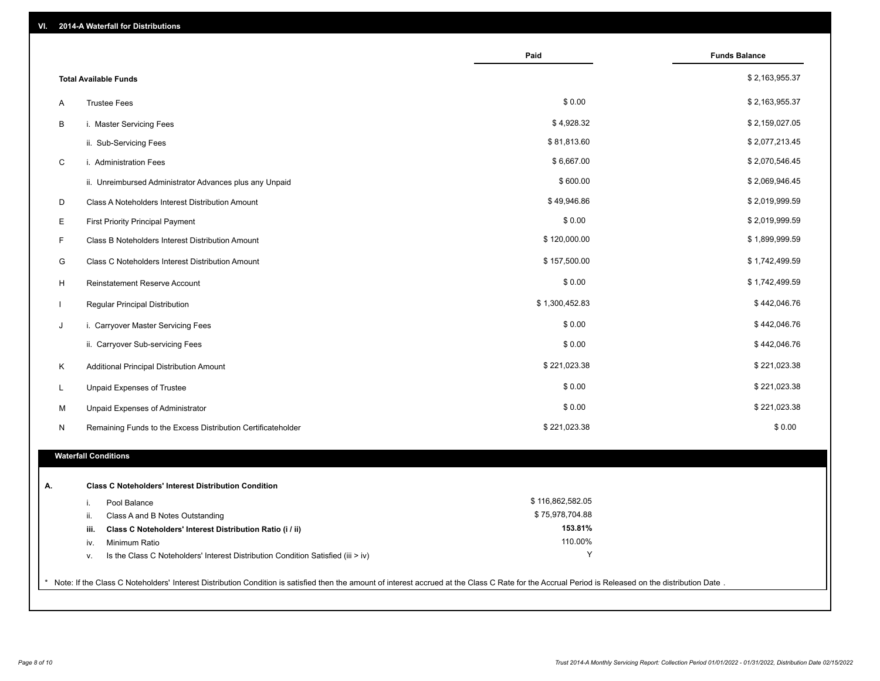| VI. | 2014-A Waterfall for Distributions                                                                                                                                                                    |                    |                      |
|-----|-------------------------------------------------------------------------------------------------------------------------------------------------------------------------------------------------------|--------------------|----------------------|
|     |                                                                                                                                                                                                       | Paid               | <b>Funds Balance</b> |
|     | <b>Total Available Funds</b>                                                                                                                                                                          |                    | \$2,163,955.37       |
| Α   | <b>Trustee Fees</b>                                                                                                                                                                                   | \$0.00             | \$2,163,955.37       |
| В   | i. Master Servicing Fees                                                                                                                                                                              | \$4,928.32         | \$2,159,027.05       |
|     | ii. Sub-Servicing Fees                                                                                                                                                                                | \$81,813.60        | \$2,077,213.45       |
| C   | i. Administration Fees                                                                                                                                                                                | \$6,667.00         | \$2,070,546.45       |
|     | ii. Unreimbursed Administrator Advances plus any Unpaid                                                                                                                                               | \$600.00           | \$2,069,946.45       |
| D   | Class A Noteholders Interest Distribution Amount                                                                                                                                                      | \$49,946.86        | \$2,019,999.59       |
| E   | <b>First Priority Principal Payment</b>                                                                                                                                                               | \$0.00             | \$2,019,999.59       |
| F   | Class B Noteholders Interest Distribution Amount                                                                                                                                                      | \$120,000.00       | \$1,899,999.59       |
| G   | Class C Noteholders Interest Distribution Amount                                                                                                                                                      | \$157,500.00       | \$1,742,499.59       |
| н   | Reinstatement Reserve Account                                                                                                                                                                         | \$0.00             | \$1,742,499.59       |
|     | Regular Principal Distribution                                                                                                                                                                        | \$1,300,452.83     | \$442,046.76         |
| J   | i. Carryover Master Servicing Fees                                                                                                                                                                    | \$0.00             | \$442,046.76         |
|     | ii. Carryover Sub-servicing Fees                                                                                                                                                                      | \$0.00             | \$442,046.76         |
| K   | Additional Principal Distribution Amount                                                                                                                                                              | \$221,023.38       | \$221,023.38         |
| L   | Unpaid Expenses of Trustee                                                                                                                                                                            | \$0.00             | \$221,023.38         |
| M   | Unpaid Expenses of Administrator                                                                                                                                                                      | \$0.00             | \$221,023.38         |
| N   | Remaining Funds to the Excess Distribution Certificateholder                                                                                                                                          | \$221,023.38       | \$0.00               |
|     | <b>Waterfall Conditions</b>                                                                                                                                                                           |                    |                      |
|     |                                                                                                                                                                                                       |                    |                      |
| Α.  | <b>Class C Noteholders' Interest Distribution Condition</b>                                                                                                                                           |                    |                      |
|     | Pool Balance<br>i.                                                                                                                                                                                    | \$116,862,582.05   |                      |
|     | Class A and B Notes Outstanding<br>ii.                                                                                                                                                                | \$75,978,704.88    |                      |
|     | Class C Noteholders' Interest Distribution Ratio (i / ii)<br>iii.                                                                                                                                     | 153.81%<br>110.00% |                      |
|     | Minimum Ratio<br>iv.<br>Is the Class C Noteholders' Interest Distribution Condition Satisfied (iii > iv)                                                                                              | Υ                  |                      |
|     | v.                                                                                                                                                                                                    |                    |                      |
|     | * Note: If the Class C Noteholders' Interest Distribution Condition is satisfied then the amount of interest accrued at the Class C Rate for the Accrual Period is Released on the distribution Date. |                    |                      |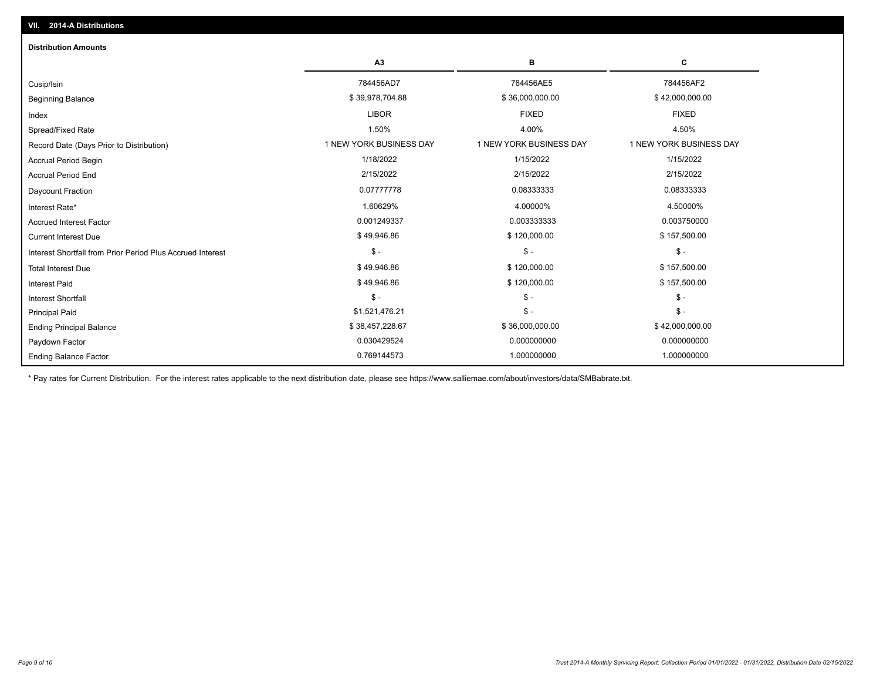| <b>Distribution Amounts</b>                                |                         |                         |                         |
|------------------------------------------------------------|-------------------------|-------------------------|-------------------------|
|                                                            | A3                      | в                       | C                       |
| Cusip/Isin                                                 | 784456AD7               | 784456AE5               | 784456AF2               |
| <b>Beginning Balance</b>                                   | \$39,978,704.88         | \$36,000,000.00         | \$42,000,000.00         |
| Index                                                      | <b>LIBOR</b>            | <b>FIXED</b>            | <b>FIXED</b>            |
| Spread/Fixed Rate                                          | 1.50%                   | 4.00%                   | 4.50%                   |
| Record Date (Days Prior to Distribution)                   | 1 NEW YORK BUSINESS DAY | 1 NEW YORK BUSINESS DAY | 1 NEW YORK BUSINESS DAY |
| <b>Accrual Period Begin</b>                                | 1/18/2022               | 1/15/2022               | 1/15/2022               |
| <b>Accrual Period End</b>                                  | 2/15/2022               | 2/15/2022               | 2/15/2022               |
| Daycount Fraction                                          | 0.07777778              | 0.08333333              | 0.08333333              |
| Interest Rate*                                             | 1.60629%                | 4.00000%                | 4.50000%                |
| <b>Accrued Interest Factor</b>                             | 0.001249337             | 0.003333333             | 0.003750000             |
| <b>Current Interest Due</b>                                | \$49,946.86             | \$120,000.00            | \$157,500.00            |
| Interest Shortfall from Prior Period Plus Accrued Interest | $\mathsf{\$}$ -         | $$ -$                   | $$ -$                   |
| <b>Total Interest Due</b>                                  | \$49,946.86             | \$120,000.00            | \$157,500.00            |
| <b>Interest Paid</b>                                       | \$49,946.86             | \$120,000.00            | \$157,500.00            |
| Interest Shortfall                                         | $$ -$                   | $$ -$                   | $$ -$                   |
| <b>Principal Paid</b>                                      | \$1,521,476.21          | $$ -$                   | $$ -$                   |
| <b>Ending Principal Balance</b>                            | \$38,457,228.67         | \$36,000,000.00         | \$42,000,000.00         |
| Paydown Factor                                             | 0.030429524             | 0.000000000             | 0.000000000             |
| <b>Ending Balance Factor</b>                               | 0.769144573             | 1.000000000             | 1.000000000             |

\* Pay rates for Current Distribution. For the interest rates applicable to the next distribution date, please see https://www.salliemae.com/about/investors/data/SMBabrate.txt.

**VII. 2014-A Distributions**